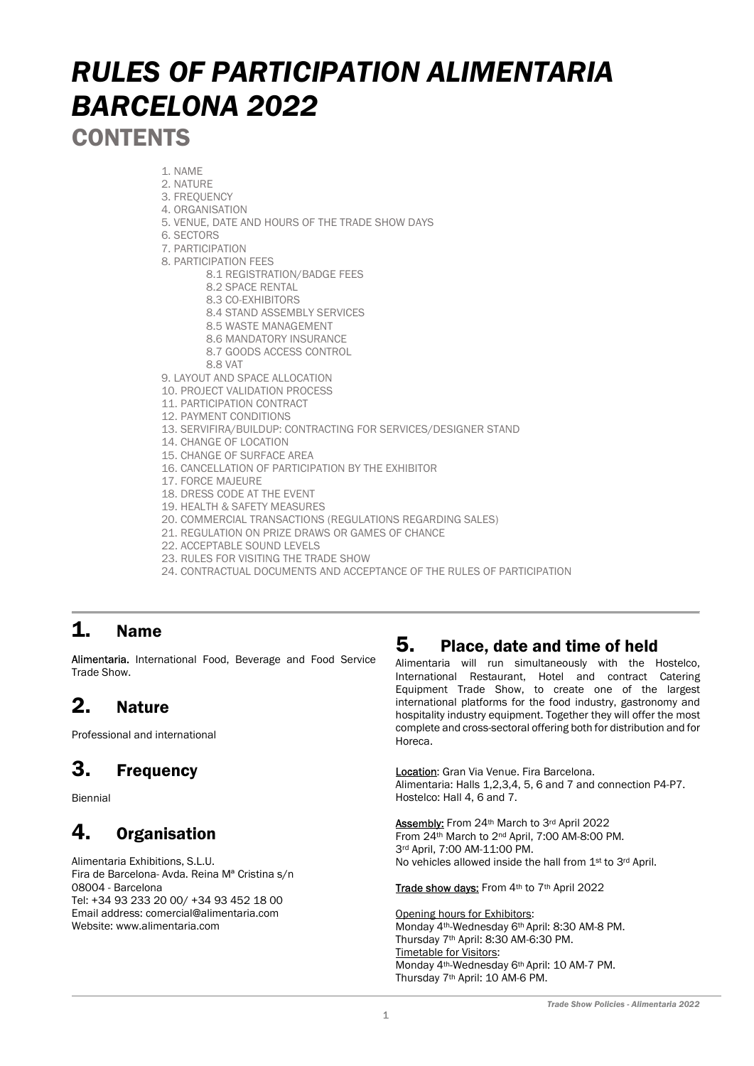# RULES OF PARTICIPATION ALIMENTARIA BARCELONA 2022 **CONTENTS**

1. NAME

- 2. NATURE
- 3. FREQUENCY
- 4. ORGANISATION
- 5. VENUE, DATE AND HOURS OF THE TRADE SHOW DAYS
- 6. SECTORS
- 7. PARTICIPATION
- 8. PARTICIPATION FEES
	- 8.1 REGISTRATION/BADGE FEES
	- 8.2 SPACE RENTAL
	- 8.3 CO-EXHIBITORS
	- 8.4 STAND ASSEMBLY SERVICES
	- 8.5 WASTE MANAGEMENT
	- 8.6 MANDATORY INSURANCE
	- 8.7 GOODS ACCESS CONTROL
		- 8.8 VAT
- 9. LAYOUT AND SPACE ALLOCATION
- 10. PROJECT VALIDATION PROCESS
- 11. PARTICIPATION CONTRACT
- 12. PAYMENT CONDITIONS
- 13. SERVIFIRA/BUILDUP: CONTRACTING FOR SERVICES/DESIGNER STAND
- 14. CHANGE OF LOCATION
- 15. CHANGE OF SURFACE AREA
- 16. CANCELLATION OF PARTICIPATION BY THE EXHIBITOR
- 17. FORCE MAJEURE
- 18. DRESS CODE AT THE EVENT
- 19. HEALTH & SAFETY MEASURES
- 20. COMMERCIAL TRANSACTIONS (REGULATIONS REGARDING SALES)
- 21. REGULATION ON PRIZE DRAWS OR GAMES OF CHANCE
- 22. ACCEPTABLE SOUND LEVELS
- 23. RULES FOR VISITING THE TRADE SHOW
- 24. CONTRACTUAL DOCUMENTS AND ACCEPTANCE OF THE RULES OF PARTICIPATION

### 1. Name

Alimentaria. International Food, Beverage and Food Service Trade Show.

## 2. Nature

Professional and international

## 3. Frequency

Biennial

## 4. Organisation

Alimentaria Exhibitions, S.L.U. Fira de Barcelona- Avda. Reina Mª Cristina s/n 08004 - Barcelona Tel: +34 93 233 20 00/ +34 93 452 18 00 Email address: comercial@alimentaria.com Website: www.alimentaria.com

### 5. Place, date and time of held

Alimentaria will run simultaneously with the Hostelco, International Restaurant, Hotel and contract Catering Equipment Trade Show, to create one of the largest international platforms for the food industry, gastronomy and hospitality industry equipment. Together they will offer the most complete and cross-sectoral offering both for distribution and for Horeca.

Location: Gran Via Venue. Fira Barcelona. Alimentaria: Halls 1,2,3,4, 5, 6 and 7 and connection P4-P7. Hostelco: Hall 4, 6 and 7.

Assembly: From 24th March to 3rd April 2022 From 24th March to 2nd April, 7:00 AM-8:00 PM. 3rd April, 7:00 AM-11:00 PM. No vehicles allowed inside the hall from 1st to 3rd April.

Trade show days: From 4th to 7th April 2022

Opening hours for Exhibitors: Monday 4th-Wednesday 6th April: 8:30 AM-8 PM. Thursday 7th April: 8:30 AM-6:30 PM. Timetable for Visitors: Monday 4th-Wednesday 6th April: 10 AM-7 PM. Thursday 7th April: 10 AM-6 PM.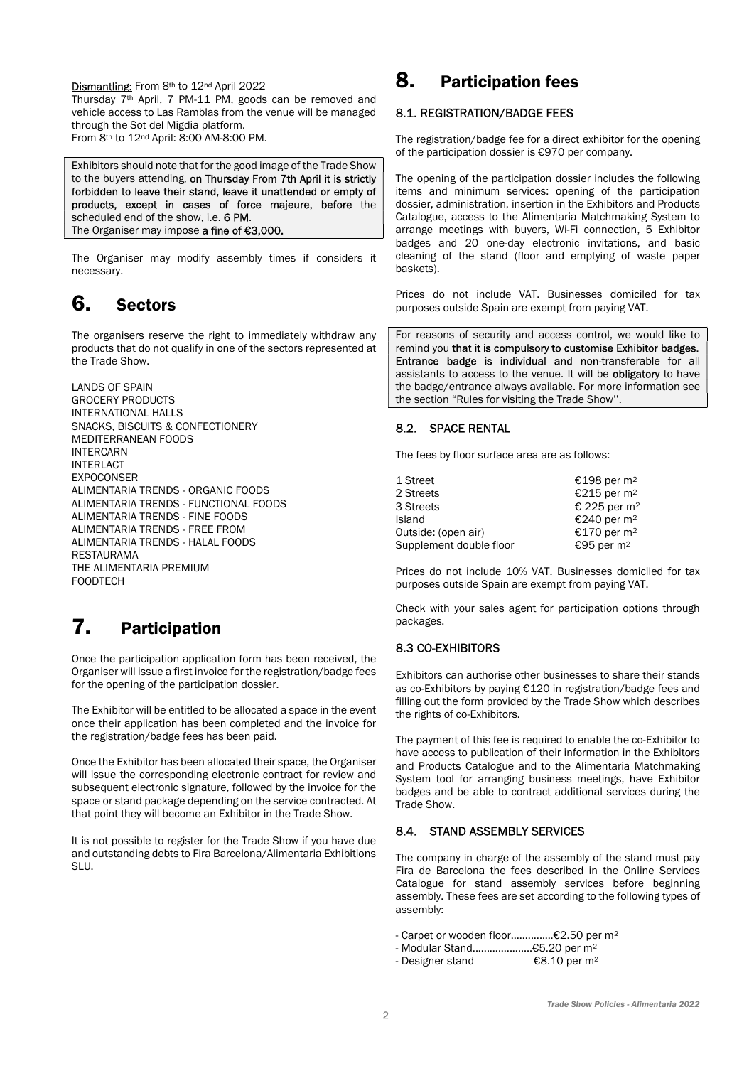#### Dismantling: From 8th to 12nd April 2022

Thursday 7th April, 7 PM-11 PM, goods can be removed and vehicle access to Las Ramblas from the venue will be managed through the Sot del Migdia platform.

From 8th to 12nd April: 8:00 AM-8:00 PM.

Exhibitors should note that for the good image of the Trade Show to the buyers attending, on Thursday From 7th April it is strictly forbidden to leave their stand, leave it unattended or empty of products, except in cases of force majeure, before the scheduled end of the show, i.e. 6 PM. The Organiser may impose a fine of €3,000.

The Organiser may modify assembly times if considers it necessary.

## 6. Sectors

The organisers reserve the right to immediately withdraw any products that do not qualify in one of the sectors represented at the Trade Show.

LANDS OF SPAIN GROCERY PRODUCTS INTERNATIONAL HALLS SNACKS, BISCUITS & CONFECTIONERY MEDITERRANEAN FOODS INTERCARN INTERLACT **EXPOCONSER** ALIMENTARIA TRENDS - ORGANIC FOODS ALIMENTARIA TRENDS - FUNCTIONAL FOODS ALIMENTARIA TRENDS - FINE FOODS ALIMENTARIA TRENDS - FREE FROM ALIMENTARIA TRENDS - HALAL FOODS RESTAURAMA THE ALIMENTARIA PREMIUM **FOODTECH** 

## 7. Participation

Once the participation application form has been received, the Organiser will issue a first invoice for the registration/badge fees for the opening of the participation dossier.

The Exhibitor will be entitled to be allocated a space in the event once their application has been completed and the invoice for the registration/badge fees has been paid.

Once the Exhibitor has been allocated their space, the Organiser will issue the corresponding electronic contract for review and subsequent electronic signature, followed by the invoice for the space or stand package depending on the service contracted. At that point they will become an Exhibitor in the Trade Show.

It is not possible to register for the Trade Show if you have due and outstanding debts to Fira Barcelona/Alimentaria Exhibitions SLU.

### 8. Participation fees

#### 8.1. REGISTRATION/BADGE FEES

The registration/badge fee for a direct exhibitor for the opening of the participation dossier is €970 per company.

The opening of the participation dossier includes the following items and minimum services: opening of the participation dossier, administration, insertion in the Exhibitors and Products Catalogue, access to the Alimentaria Matchmaking System to arrange meetings with buyers, Wi-Fi connection, 5 Exhibitor badges and 20 one-day electronic invitations, and basic cleaning of the stand (floor and emptying of waste paper baskets).

Prices do not include VAT. Businesses domiciled for tax purposes outside Spain are exempt from paying VAT.

For reasons of security and access control, we would like to remind you that it is compulsory to customise Exhibitor badges. Entrance badge is individual and non-transferable for all assistants to access to the venue. It will be **obligatory** to have the badge/entrance always available. For more information see the section "Rules for visiting the Trade Show''.

#### 8.2. SPACE RENTAL

The fees by floor surface area are as follows:

| 1 Street                | €198 per m <sup>2</sup>  |
|-------------------------|--------------------------|
| 2 Streets               | €215 per m <sup>2</sup>  |
| 3 Streets               | € 225 per m <sup>2</sup> |
| Island                  | €240 per m <sup>2</sup>  |
| Outside: (open air)     | €170 per m <sup>2</sup>  |
| Supplement double floor | €95 per m <sup>2</sup>   |

Prices do not include 10% VAT. Businesses domiciled for tax purposes outside Spain are exempt from paying VAT.

Check with your sales agent for participation options through packages.

#### 8.3 CO-EXHIBITORS

Exhibitors can authorise other businesses to share their stands as co-Exhibitors by paying €120 in registration/badge fees and filling out the form provided by the Trade Show which describes the rights of co-Exhibitors.

The payment of this fee is required to enable the co-Exhibitor to have access to publication of their information in the Exhibitors and Products Catalogue and to the Alimentaria Matchmaking System tool for arranging business meetings, have Exhibitor badges and be able to contract additional services during the Trade Show.

#### 8.4. STAND ASSEMBLY SERVICES

The company in charge of the assembly of the stand must pay Fira de Barcelona the fees described in the Online Services Catalogue for stand assembly services before beginning assembly. These fees are set according to the following types of assembly:

- Carpet or wooden floor...............€2.50 per m²
- Modular Stand.....................€5.20 per m²
- Designer stand €8.10 per m²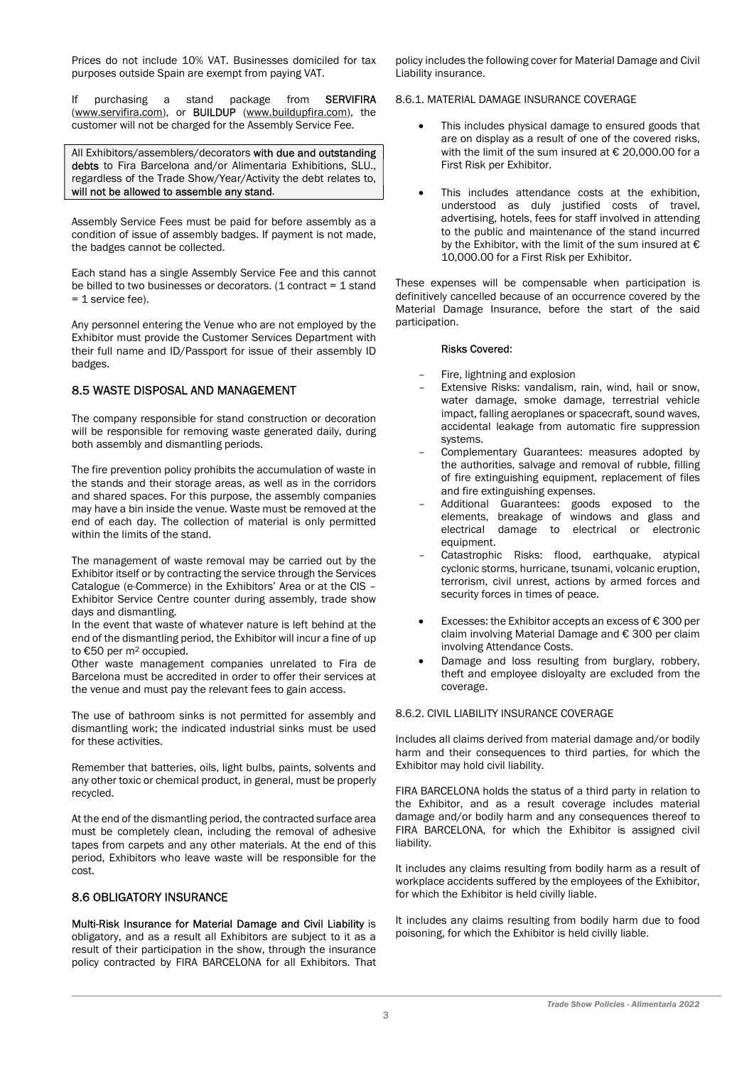Prices do not include 10% VAT. Businesses domiciled for tax purposes outside Spain are exempt from paying VAT.

If purchasing a stand package from **SERVIFIRA** (www.servifira.com), or BUILDUP (www.buildupfira.com), the customer will not be charged for the Assembly Service Fee.

All Exhibitors/assemblers/decorators with due and outstanding debts to Fira Barcelona and/or Alimentaria Exhibitions, SLU., regardless of the Trade Show/Year/Activity the debt relates to, will not be allowed to assemble any stand.

Assembly Service Fees must be paid for before assembly as a condition of issue of assembly badges. If payment is not made, the badges cannot be collected.

Each stand has a single Assembly Service Fee and this cannot be billed to two businesses or decorators. (1 contract  $=$  1 stand = 1 service fee).

Any personnel entering the Venue who are not employed by the Exhibitor must provide the Customer Services Department with their full name and ID/Passport for issue of their assembly ID badges.

#### 8.5 WASTE DISPOSAL AND MANAGEMENT

The company responsible for stand construction or decoration will be responsible for removing waste generated daily, during both assembly and dismantling periods.

The fire prevention policy prohibits the accumulation of waste in the stands and their storage areas, as well as in the corridors and shared spaces. For this purpose, the assembly companies may have a bin inside the venue. Waste must be removed at the end of each day. The collection of material is only permitted within the limits of the stand.

The management of waste removal may be carried out by the Exhibitor itself or by contracting the service through the Services Catalogue (e-Commerce) in the Exhibitors' Area or at the CIS – Exhibitor Service Centre counter during assembly, trade show days and dismantling.

In the event that waste of whatever nature is left behind at the end of the dismantling period, the Exhibitor will incur a fine of up to €50 per m2 occupied.

Other waste management companies unrelated to Fira de Barcelona must be accredited in order to offer their services at the venue and must pay the relevant fees to gain access.

The use of bathroom sinks is not permitted for assembly and dismantling work; the indicated industrial sinks must be used for these activities.

Remember that batteries, oils, light bulbs, paints, solvents and any other toxic or chemical product, in general, must be properly recycled.

At the end of the dismantling period, the contracted surface area must be completely clean, including the removal of adhesive tapes from carpets and any other materials. At the end of this period, Exhibitors who leave waste will be responsible for the cost.

#### 8.6 OBLIGATORY INSURANCE

Multi-Risk Insurance for Material Damage and Civil Liability is obligatory, and as a result all Exhibitors are subject to it as a result of their participation in the show, through the insurance policy contracted by FIRA BARCELONA for all Exhibitors. That policy includes the following cover for Material Damage and Civil Liability insurance.

#### 8.6.1. MATERIAL DAMAGE INSURANCE COVERAGE

- This includes physical damage to ensured goods that are on display as a result of one of the covered risks, with the limit of the sum insured at  $\epsilon$  20,000.00 for a First Risk per Exhibitor.
- This includes attendance costs at the exhibition, understood as duly justified costs of travel, advertising, hotels, fees for staff involved in attending to the public and maintenance of the stand incurred by the Exhibitor, with the limit of the sum insured at  $\epsilon$ 10,000.00 for a First Risk per Exhibitor.

These expenses will be compensable when participation is definitively cancelled because of an occurrence covered by the Material Damage Insurance, before the start of the said participation.

#### Risks Covered:

- Fire, lightning and explosion
- Extensive Risks: vandalism, rain, wind, hail or snow, water damage, smoke damage, terrestrial vehicle impact, falling aeroplanes or spacecraft, sound waves, accidental leakage from automatic fire suppression systems.
- Complementary Guarantees: measures adopted by the authorities, salvage and removal of rubble, filling of fire extinguishing equipment, replacement of files and fire extinguishing expenses.
- Additional Guarantees: goods exposed to the elements, breakage of windows and glass and electrical damage to electrical or electronic equipment.
- Catastrophic Risks: flood, earthquake, atypical cyclonic storms, hurricane, tsunami, volcanic eruption, terrorism, civil unrest, actions by armed forces and security forces in times of peace.
- Excesses: the Exhibitor accepts an excess of € 300 per claim involving Material Damage and € 300 per claim involving Attendance Costs.
- Damage and loss resulting from burglary, robbery, theft and employee disloyalty are excluded from the coverage.

#### 8.6.2. CIVIL LIABILITY INSURANCE COVERAGE

Includes all claims derived from material damage and/or bodily harm and their consequences to third parties, for which the Exhibitor may hold civil liability.

FIRA BARCELONA holds the status of a third party in relation to the Exhibitor, and as a result coverage includes material damage and/or bodily harm and any consequences thereof to FIRA BARCELONA, for which the Exhibitor is assigned civil liability.

It includes any claims resulting from bodily harm as a result of workplace accidents suffered by the employees of the Exhibitor, for which the Exhibitor is held civilly liable.

It includes any claims resulting from bodily harm due to food poisoning, for which the Exhibitor is held civilly liable.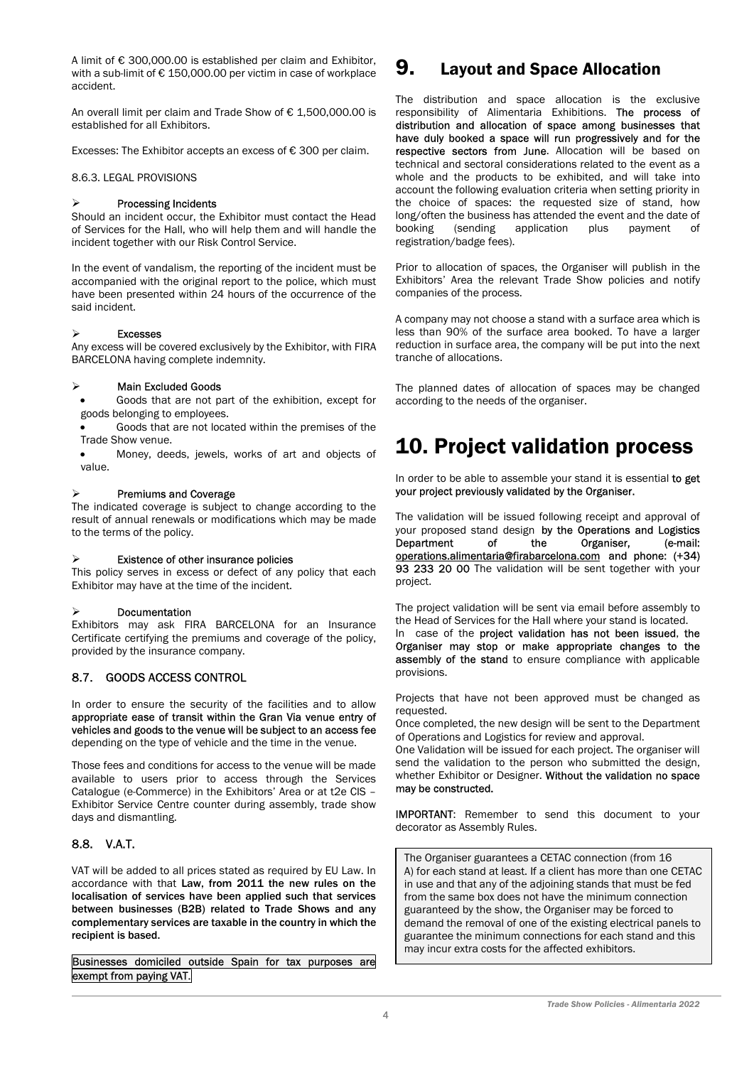A limit of € 300,000.00 is established per claim and Exhibitor, with a sub-limit of € 150,000.00 per victim in case of workplace accident.

An overall limit per claim and Trade Show of € 1,500,000.00 is established for all Exhibitors.

Excesses: The Exhibitor accepts an excess of € 300 per claim.

8.6.3. LEGAL PROVISIONS

#### Processing Incidents

Should an incident occur, the Exhibitor must contact the Head of Services for the Hall, who will help them and will handle the incident together with our Risk Control Service.

In the event of vandalism, the reporting of the incident must be accompanied with the original report to the police, which must have been presented within 24 hours of the occurrence of the said incident.

#### Excesses

Any excess will be covered exclusively by the Exhibitor, with FIRA BARCELONA having complete indemnity.

#### $\triangleright$  Main Excluded Goods

 Goods that are not part of the exhibition, except for goods belonging to employees.

 Goods that are not located within the premises of the Trade Show venue.

 Money, deeds, jewels, works of art and objects of value.

#### $\triangleright$  Premiums and Coverage

The indicated coverage is subject to change according to the result of annual renewals or modifications which may be made to the terms of the policy.

#### $\triangleright$  Existence of other insurance policies

This policy serves in excess or defect of any policy that each Exhibitor may have at the time of the incident.

#### Documentation

Exhibitors may ask FIRA BARCELONA for an Insurance Certificate certifying the premiums and coverage of the policy, provided by the insurance company.

#### 8.7. GOODS ACCESS CONTROL

In order to ensure the security of the facilities and to allow appropriate ease of transit within the Gran Via venue entry of vehicles and goods to the venue will be subject to an access fee depending on the type of vehicle and the time in the venue.

Those fees and conditions for access to the venue will be made available to users prior to access through the Services Catalogue (e-Commerce) in the Exhibitors' Area or at t2e CIS – Exhibitor Service Centre counter during assembly, trade show days and dismantling.

#### 8.8. V.A.T.

VAT will be added to all prices stated as required by EU Law. In accordance with that Law, from 2011 the new rules on the localisation of services have been applied such that services between businesses (B2B) related to Trade Shows and any complementary services are taxable in the country in which the recipient is based.

Businesses domiciled outside Spain for tax purposes are exempt from paying VAT.

### 9. Layout and Space Allocation

The distribution and space allocation is the exclusive responsibility of Alimentaria Exhibitions. The process of distribution and allocation of space among businesses that have duly booked a space will run progressively and for the respective sectors from June. Allocation will be based on technical and sectoral considerations related to the event as a whole and the products to be exhibited, and will take into account the following evaluation criteria when setting priority in the choice of spaces: the requested size of stand, how long/often the business has attended the event and the date of<br>booking (sending application plus payment of (sending application plus payment of registration/badge fees).

Prior to allocation of spaces, the Organiser will publish in the Exhibitors' Area the relevant Trade Show policies and notify companies of the process.

A company may not choose a stand with a surface area which is less than 90% of the surface area booked. To have a larger reduction in surface area, the company will be put into the next tranche of allocations.

The planned dates of allocation of spaces may be changed according to the needs of the organiser.

## 10. Project validation process

In order to be able to assemble your stand it is essential to get your project previously validated by the Organiser.

The validation will be issued following receipt and approval of your proposed stand design by the Operations and Logistics<br>Department of the Organiser, (e-mail: Department of the Organiser, operations.alimentaria@firabarcelona.com and phone: (+34) 93 233 20 00 The validation will be sent together with your project.

The project validation will be sent via email before assembly to the Head of Services for the Hall where your stand is located. In case of the project validation has not been issued, the Organiser may stop or make appropriate changes to the assembly of the stand to ensure compliance with applicable provisions.

Projects that have not been approved must be changed as requested.

Once completed, the new design will be sent to the Department of Operations and Logistics for review and approval.

One Validation will be issued for each project. The organiser will send the validation to the person who submitted the design, whether Exhibitor or Designer. Without the validation no space may be constructed.

IMPORTANT: Remember to send this document to your decorator as Assembly Rules.

The Organiser guarantees a CETAC connection (from 16 A) for each stand at least. If a client has more than one CETAC in use and that any of the adjoining stands that must be fed from the same box does not have the minimum connection guaranteed by the show, the Organiser may be forced to demand the removal of one of the existing electrical panels to guarantee the minimum connections for each stand and this may incur extra costs for the affected exhibitors.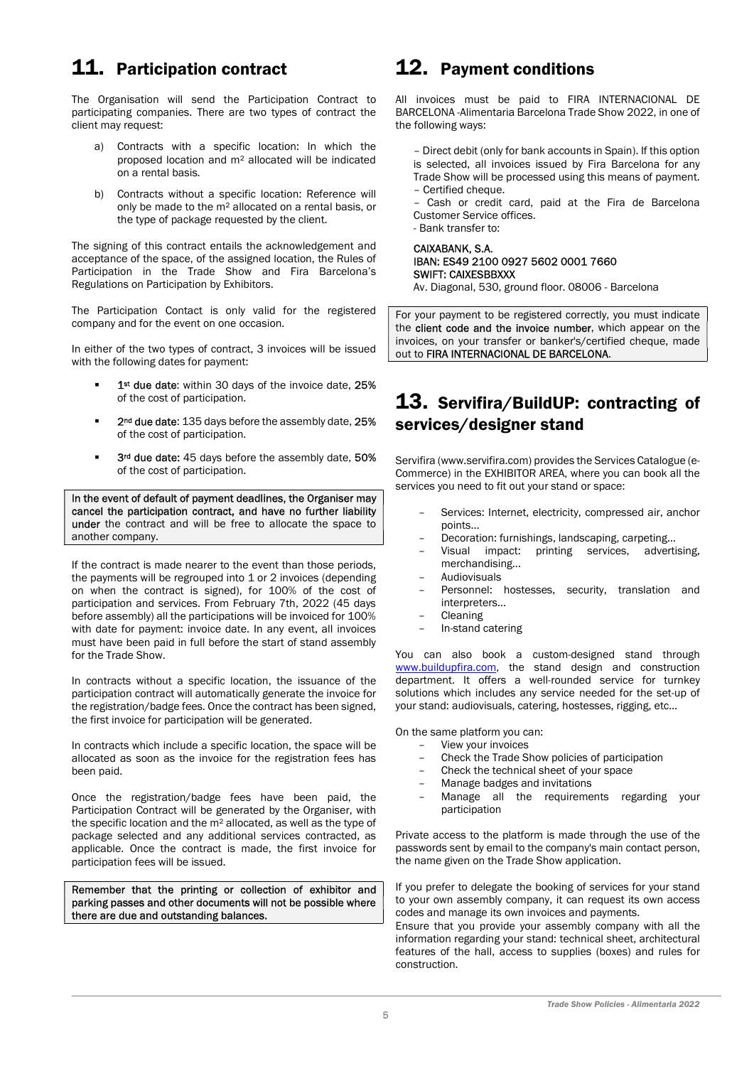## 11. Participation contract

The Organisation will send the Participation Contract to participating companies. There are two types of contract the client may request:

- a) Contracts with a specific location: In which the proposed location and m² allocated will be indicated on a rental basis.
- b) Contracts without a specific location: Reference will only be made to the m² allocated on a rental basis, or the type of package requested by the client.

The signing of this contract entails the acknowledgement and acceptance of the space, of the assigned location, the Rules of Participation in the Trade Show and Fira Barcelona's Regulations on Participation by Exhibitors.

The Participation Contact is only valid for the registered company and for the event on one occasion.

In either of the two types of contract, 3 invoices will be issued with the following dates for payment:

- 1st due date: within 30 days of the invoice date, 25% of the cost of participation.
- 2<sup>nd</sup> due date: 135 days before the assembly date, 25% of the cost of participation.
- <sup>3rd</sup> due date: 45 days before the assembly date, 50% of the cost of participation.

In the event of default of payment deadlines, the Organiser may cancel the participation contract, and have no further liability under the contract and will be free to allocate the space to another company.

If the contract is made nearer to the event than those periods, the payments will be regrouped into 1 or 2 invoices (depending on when the contract is signed), for 100% of the cost of participation and services. From February 7th, 2022 (45 days before assembly) all the participations will be invoiced for 100% with date for payment: invoice date. In any event, all invoices must have been paid in full before the start of stand assembly for the Trade Show.

In contracts without a specific location, the issuance of the participation contract will automatically generate the invoice for the registration/badge fees. Once the contract has been signed, the first invoice for participation will be generated.

In contracts which include a specific location, the space will be allocated as soon as the invoice for the registration fees has been paid.

Once the registration/badge fees have been paid, the Participation Contract will be generated by the Organiser, with the specific location and the m² allocated, as well as the type of package selected and any additional services contracted, as applicable. Once the contract is made, the first invoice for participation fees will be issued.

Remember that the printing or collection of exhibitor and parking passes and other documents will not be possible where there are due and outstanding balances.

### 12. Payment conditions

All invoices must be paid to FIRA INTERNACIONAL DE BARCELONA -Alimentaria Barcelona Trade Show 2022, in one of the following ways:

– Direct debit (only for bank accounts in Spain). If this option is selected, all invoices issued by Fira Barcelona for any Trade Show will be processed using this means of payment. – Certified cheque.

– Cash or credit card, paid at the Fira de Barcelona Customer Service offices.

- Bank transfer to:

#### CAIXABANK, S.A. IBAN: ES49 2100 0927 5602 0001 7660 SWIFT: CAIXESBBXXX

Av. Diagonal, 530, ground floor. 08006 - Barcelona

For your payment to be registered correctly, you must indicate the client code and the invoice number, which appear on the invoices, on your transfer or banker's/certified cheque, made out to FIRA INTERNACIONAL DE BARCELONA.

### 13. Servifira/BuildUP: contracting of services/designer stand

Servifira (www.servifira.com) provides the Services Catalogue (e-Commerce) in the EXHIBITOR AREA, where you can book all the services you need to fit out your stand or space:

- Services: Internet, electricity, compressed air, anchor points...
- Decoration: furnishings, landscaping, carpeting...
- Visual impact: printing services, advertising, merchandising...
- Audiovisuals
- Personnel: hostesses, security, translation and interpreters...
- Cleaning
- In-stand catering

You can also book a custom-designed stand through www.buildupfira.com, the stand design and construction department. It offers a well-rounded service for turnkey solutions which includes any service needed for the set-up of your stand: audiovisuals, catering, hostesses, rigging, etc…

On the same platform you can:

- View your invoices
- Check the Trade Show policies of participation
- Check the technical sheet of your space
- Manage badges and invitations
- Manage all the requirements regarding your participation

Private access to the platform is made through the use of the passwords sent by email to the company's main contact person, the name given on the Trade Show application.

If you prefer to delegate the booking of services for your stand to your own assembly company, it can request its own access codes and manage its own invoices and payments.

Ensure that you provide your assembly company with all the information regarding your stand: technical sheet, architectural features of the hall, access to supplies (boxes) and rules for construction.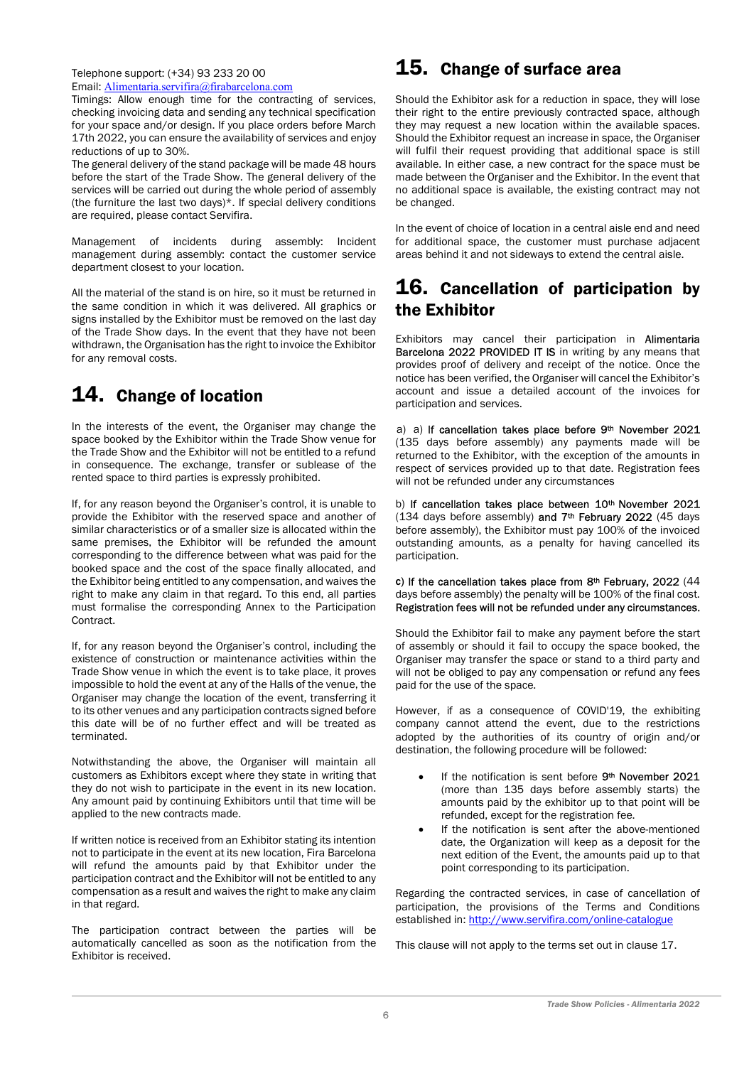Telephone support: (+34) 93 233 20 00 Email: Alimentaria.servifira@firabarcelona.com

Timings: Allow enough time for the contracting of services, checking invoicing data and sending any technical specification for your space and/or design. If you place orders before March 17th 2022, you can ensure the availability of services and enjoy reductions of up to 30%.

The general delivery of the stand package will be made 48 hours before the start of the Trade Show. The general delivery of the services will be carried out during the whole period of assembly (the furniture the last two days)\*. If special delivery conditions are required, please contact Servifira.

Management of incidents during assembly: Incident management during assembly: contact the customer service department closest to your location.

All the material of the stand is on hire, so it must be returned in the same condition in which it was delivered. All graphics or signs installed by the Exhibitor must be removed on the last day of the Trade Show days. In the event that they have not been withdrawn, the Organisation has the right to invoice the Exhibitor for any removal costs.

## 14. Change of location

In the interests of the event, the Organiser may change the space booked by the Exhibitor within the Trade Show venue for the Trade Show and the Exhibitor will not be entitled to a refund in consequence. The exchange, transfer or sublease of the rented space to third parties is expressly prohibited.

If, for any reason beyond the Organiser's control, it is unable to provide the Exhibitor with the reserved space and another of similar characteristics or of a smaller size is allocated within the same premises, the Exhibitor will be refunded the amount corresponding to the difference between what was paid for the booked space and the cost of the space finally allocated, and the Exhibitor being entitled to any compensation, and waives the right to make any claim in that regard. To this end, all parties must formalise the corresponding Annex to the Participation Contract.

If, for any reason beyond the Organiser's control, including the existence of construction or maintenance activities within the Trade Show venue in which the event is to take place, it proves impossible to hold the event at any of the Halls of the venue, the Organiser may change the location of the event, transferring it to its other venues and any participation contracts signed before this date will be of no further effect and will be treated as terminated.

Notwithstanding the above, the Organiser will maintain all customers as Exhibitors except where they state in writing that they do not wish to participate in the event in its new location. Any amount paid by continuing Exhibitors until that time will be applied to the new contracts made.

If written notice is received from an Exhibitor stating its intention not to participate in the event at its new location, Fira Barcelona will refund the amounts paid by that Exhibitor under the participation contract and the Exhibitor will not be entitled to any compensation as a result and waives the right to make any claim in that regard.

The participation contract between the parties will be automatically cancelled as soon as the notification from the Exhibitor is received.

## 15. Change of surface area

Should the Exhibitor ask for a reduction in space, they will lose their right to the entire previously contracted space, although they may request a new location within the available spaces. Should the Exhibitor request an increase in space, the Organiser will fulfil their request providing that additional space is still available. In either case, a new contract for the space must be made between the Organiser and the Exhibitor. In the event that no additional space is available, the existing contract may not be changed.

In the event of choice of location in a central aisle end and need for additional space, the customer must purchase adjacent areas behind it and not sideways to extend the central aisle.

### 16. Cancellation of participation by the Exhibitor

Exhibitors may cancel their participation in **Alimentaria** Barcelona 2022 PROVIDED IT IS in writing by any means that provides proof of delivery and receipt of the notice. Once the notice has been verified, the Organiser will cancel the Exhibitor's account and issue a detailed account of the invoices for participation and services.

a) a) If cancellation takes place before 9th November 2021 (135 days before assembly) any payments made will be returned to the Exhibitor, with the exception of the amounts in respect of services provided up to that date. Registration fees will not be refunded under any circumstances

b) If cancellation takes place between 10th November 2021 (134 days before assembly) and 7<sup>th</sup> February 2022 (45 days before assembly), the Exhibitor must pay 100% of the invoiced outstanding amounts, as a penalty for having cancelled its participation.

c) If the cancellation takes place from  $8<sup>th</sup>$  February, 2022 (44 days before assembly) the penalty will be 100% of the final cost. Registration fees will not be refunded under any circumstances.

Should the Exhibitor fail to make any payment before the start of assembly or should it fail to occupy the space booked, the Organiser may transfer the space or stand to a third party and will not be obliged to pay any compensation or refund any fees paid for the use of the space.

However, if as a consequence of COVID'19, the exhibiting company cannot attend the event, due to the restrictions adopted by the authorities of its country of origin and/or destination, the following procedure will be followed:

- If the notification is sent before 9<sup>th</sup> November 2021 (more than 135 days before assembly starts) the amounts paid by the exhibitor up to that point will be refunded, except for the registration fee.
- If the notification is sent after the above-mentioned date, the Organization will keep as a deposit for the next edition of the Event, the amounts paid up to that point corresponding to its participation.

Regarding the contracted services, in case of cancellation of participation, the provisions of the Terms and Conditions established in: http://www.servifira.com/online-catalogue

This clause will not apply to the terms set out in clause 17.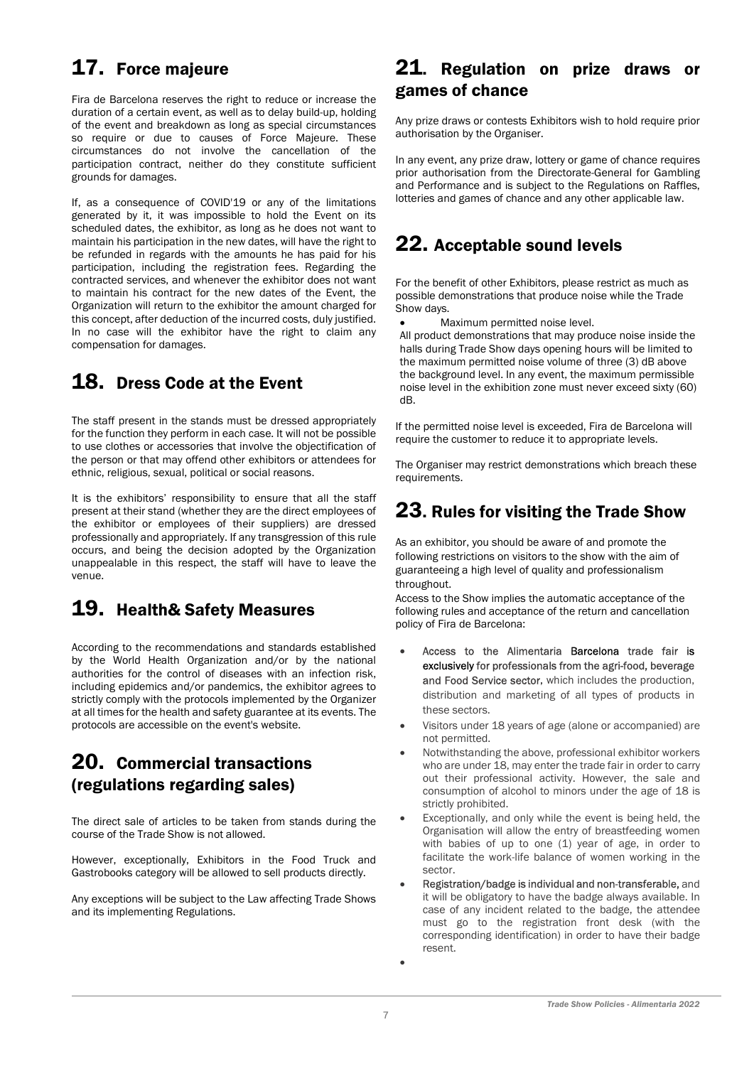## 17. Force majeure

Fira de Barcelona reserves the right to reduce or increase the duration of a certain event, as well as to delay build-up, holding of the event and breakdown as long as special circumstances so require or due to causes of Force Majeure. These circumstances do not involve the cancellation of the participation contract, neither do they constitute sufficient grounds for damages.

If, as a consequence of COVID'19 or any of the limitations generated by it, it was impossible to hold the Event on its scheduled dates, the exhibitor, as long as he does not want to maintain his participation in the new dates, will have the right to be refunded in regards with the amounts he has paid for his participation, including the registration fees. Regarding the contracted services, and whenever the exhibitor does not want to maintain his contract for the new dates of the Event, the Organization will return to the exhibitor the amount charged for this concept, after deduction of the incurred costs, duly justified. In no case will the exhibitor have the right to claim any compensation for damages.

## 18. Dress Code at the Event

The staff present in the stands must be dressed appropriately for the function they perform in each case. It will not be possible to use clothes or accessories that involve the objectification of the person or that may offend other exhibitors or attendees for ethnic, religious, sexual, political or social reasons.

It is the exhibitors' responsibility to ensure that all the staff present at their stand (whether they are the direct employees of the exhibitor or employees of their suppliers) are dressed professionally and appropriately. If any transgression of this rule occurs, and being the decision adopted by the Organization unappealable in this respect, the staff will have to leave the venue.

## 19. Health& Safety Measures

According to the recommendations and standards established by the World Health Organization and/or by the national authorities for the control of diseases with an infection risk, including epidemics and/or pandemics, the exhibitor agrees to strictly comply with the protocols implemented by the Organizer at all times for the health and safety guarantee at its events. The protocols are accessible on the event's website.

### 20. Commercial transactions (regulations regarding sales)

The direct sale of articles to be taken from stands during the course of the Trade Show is not allowed.

However, exceptionally, Exhibitors in the Food Truck and Gastrobooks category will be allowed to sell products directly.

Any exceptions will be subject to the Law affecting Trade Shows and its implementing Regulations.

### 21. Regulation on prize draws or games of chance

Any prize draws or contests Exhibitors wish to hold require prior authorisation by the Organiser.

In any event, any prize draw, lottery or game of chance requires prior authorisation from the Directorate-General for Gambling and Performance and is subject to the Regulations on Raffles, lotteries and games of chance and any other applicable law.

## 22. Acceptable sound levels

For the benefit of other Exhibitors, please restrict as much as possible demonstrations that produce noise while the Trade Show days.

Maximum permitted noise level.

All product demonstrations that may produce noise inside the halls during Trade Show days opening hours will be limited to the maximum permitted noise volume of three (3) dB above the background level. In any event, the maximum permissible noise level in the exhibition zone must never exceed sixty (60) dB.

If the permitted noise level is exceeded, Fira de Barcelona will require the customer to reduce it to appropriate levels.

The Organiser may restrict demonstrations which breach these requirements.

## 23. Rules for visiting the Trade Show

As an exhibitor, you should be aware of and promote the following restrictions on visitors to the show with the aim of guaranteeing a high level of quality and professionalism throughout.

Access to the Show implies the automatic acceptance of the following rules and acceptance of the return and cancellation policy of Fira de Barcelona:

- Access to the Alimentaria Barcelona trade fair is exclusively for professionals from the agri-food, beverage and Food Service sector, which includes the production, distribution and marketing of all types of products in these sectors.
- Visitors under 18 years of age (alone or accompanied) are not permitted.
- Notwithstanding the above, professional exhibitor workers who are under 18, may enter the trade fair in order to carry out their professional activity. However, the sale and consumption of alcohol to minors under the age of 18 is strictly prohibited.
- Exceptionally, and only while the event is being held, the Organisation will allow the entry of breastfeeding women with babies of up to one (1) year of age, in order to facilitate the work-life balance of women working in the sector.
- Registration/badge is individual and non-transferable, and it will be obligatory to have the badge always available. In case of any incident related to the badge, the attendee must go to the registration front desk (with the corresponding identification) in order to have their badge resent.